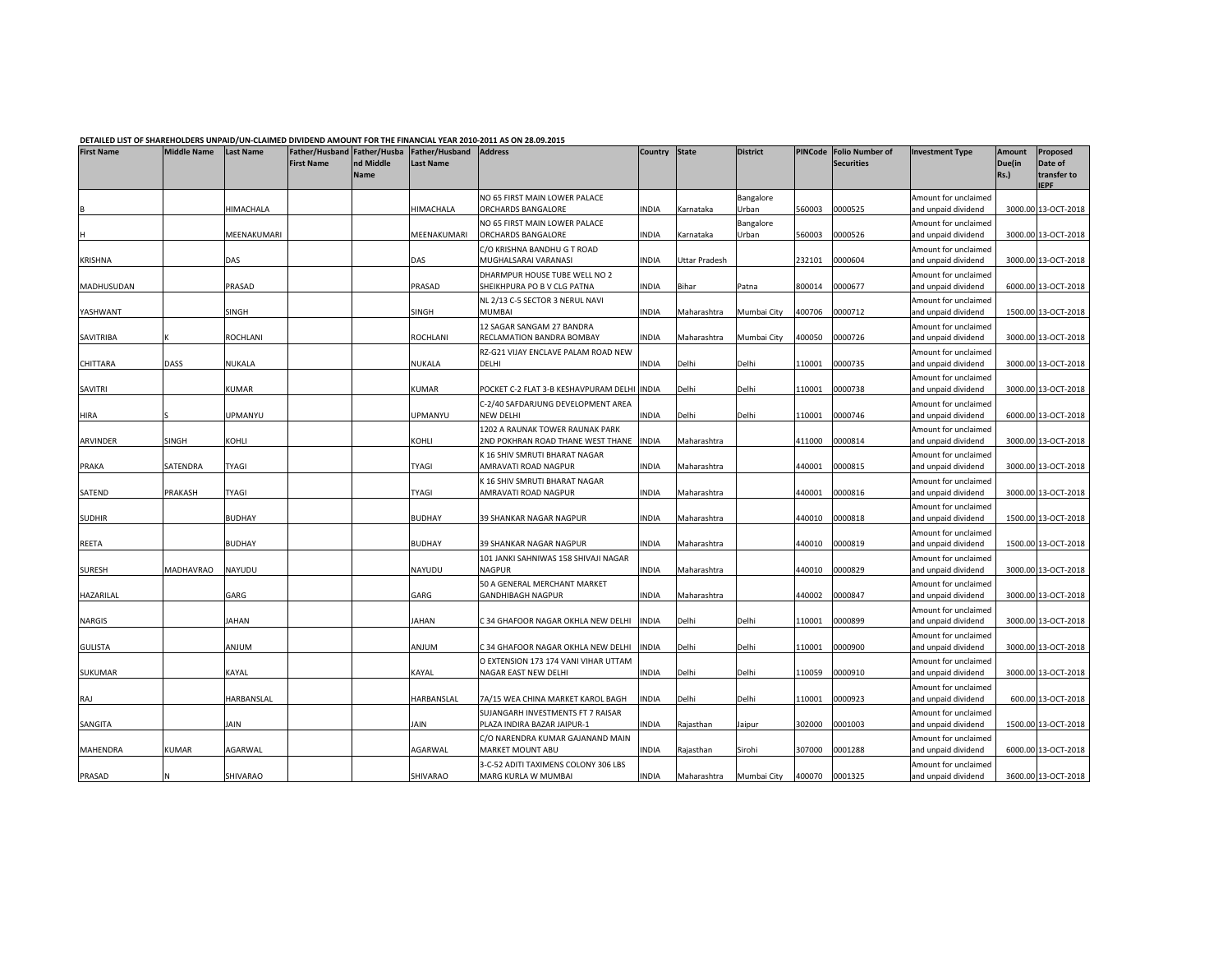## DETAILED LIST OF SHAREHOLDERS UNPAID/UN-CLAIMED DIVIDEND AMOUNT FOR THE FINANCIAL YEAR 2010-2011 AS ON 28.09.2015

| <b>First Name</b> | <b>Middle Name</b> | <b>Last Name</b> | Father/Husband Father/Husba<br><b>First Name</b> | nd Middle<br><b>Name</b> | Father/Husband<br><b>Last Name</b> | <b>Address</b>                                               | Country State |               | <b>District</b>    | <b>PINCode</b> | <b>Folio Number of</b><br><b>Securities</b> | <b>Investment Type</b>                      | Amount<br>Due(in<br>Rs.) | Proposed<br>Date of<br>transfer to<br><b>IEPF</b> |
|-------------------|--------------------|------------------|--------------------------------------------------|--------------------------|------------------------------------|--------------------------------------------------------------|---------------|---------------|--------------------|----------------|---------------------------------------------|---------------------------------------------|--------------------------|---------------------------------------------------|
|                   |                    | <b>HIMACHALA</b> |                                                  |                          | HIMACHALA                          | NO 65 FIRST MAIN LOWER PALACE<br>ORCHARDS BANGALORE          | <b>NDIA</b>   | Karnataka     | Bangalore<br>Urban | 560003         | 0000525                                     | Amount for unclaimed<br>and unpaid dividend |                          | 3000.00 13-OCT-2018                               |
|                   |                    | MEENAKUMARI      |                                                  |                          | MEENAKUMARI                        | NO 65 FIRST MAIN LOWER PALACE<br>ORCHARDS BANGALORE          | <b>NDIA</b>   | Karnataka     | Bangalore<br>Urban | 560003         | 0000526                                     | Amount for unclaimed<br>and unpaid dividend |                          | 3000.00 13-OCT-2018                               |
|                   |                    |                  |                                                  |                          |                                    | C/O KRISHNA BANDHU G T ROAD                                  |               |               |                    |                |                                             | Amount for unclaimed                        |                          |                                                   |
| <b>KRISHNA</b>    |                    | DAS              |                                                  |                          | DAS                                | MUGHALSARAI VARANASI                                         | <b>NDIA</b>   | Uttar Pradesh |                    | 232101         | 0000604                                     | and unpaid dividend                         |                          | 3000.00 13-OCT-2018                               |
| MADHUSUDAN        |                    | PRASAD           |                                                  |                          | PRASAD                             | DHARMPUR HOUSE TUBE WELL NO 2<br>SHEIKHPURA PO B V CLG PATNA | INDIA         | Bihar         | Patna              | 800014         | 0000677                                     | Amount for unclaimed<br>and unpaid dividend |                          | 6000.00 13-OCT-2018                               |
|                   |                    |                  |                                                  |                          |                                    | NL 2/13 C-5 SECTOR 3 NERUL NAVI                              |               |               |                    |                |                                             | Amount for unclaimed                        |                          |                                                   |
| YASHWANT          |                    | SINGH            |                                                  |                          | SINGH                              | <b>MUMBAI</b>                                                | <b>NDIA</b>   | Maharashtra   | Mumbai City        | 400706         | 0000712                                     | and unpaid dividend                         |                          | 1500.00 13-OCT-2018                               |
| SAVITRIBA         |                    | ROCHLANI         |                                                  |                          | ROCHLANI                           | 12 SAGAR SANGAM 27 BANDRA<br>RECLAMATION BANDRA BOMBAY       | NDIA          | Maharashtra   | Mumbai City        | 400050         | 0000726                                     | Amount for unclaimed<br>and unpaid dividend |                          | 3000.00 13-OCT-2018                               |
|                   |                    |                  |                                                  |                          |                                    | RZ-G21 VIJAY ENCLAVE PALAM ROAD NEW                          |               |               |                    |                |                                             | Amount for unclaimed                        |                          |                                                   |
| CHITTARA          | DASS               | NUKALA           |                                                  |                          | NUKALA                             | DELHI                                                        | INDIA         | Delhi         | Delhi              | 110001         | 0000735                                     | and unpaid dividend                         |                          | 3000.00 13-OCT-2018                               |
|                   |                    |                  |                                                  |                          |                                    |                                                              |               |               |                    |                |                                             | Amount for unclaimed                        |                          |                                                   |
| SAVITRI           |                    | KUMAR            |                                                  |                          | KUMAR                              | POCKET C-2 FLAT 3-B KESHAVPURAM DELHI INDIA                  |               | Delhi         | Delhi              | 110001         | 0000738                                     | and unpaid dividend                         |                          | 3000.00 13-OCT-2018                               |
| HIRA              |                    | UPMANYU          |                                                  |                          | UPMANYU                            | C-2/40 SAFDARJUNG DEVELOPMENT AREA<br>NEW DELHI              | <b>INDIA</b>  | Delhi         | Delhi              | 110001         | 0000746                                     | Amount for unclaimed<br>and unpaid dividend |                          | 6000.00 13-OCT-2018                               |
|                   |                    |                  |                                                  |                          |                                    | 1202 A RAUNAK TOWER RAUNAK PARK                              |               |               |                    |                |                                             | Amount for unclaimed                        |                          |                                                   |
| ARVINDER          | SINGH              | KOHLI            |                                                  |                          | KOHLI                              | 2ND POKHRAN ROAD THANE WEST THANE                            | <b>INDIA</b>  | Maharashtra   |                    | 411000         | 0000814                                     | and unpaid dividend                         |                          | 3000.00 13-OCT-2018                               |
|                   |                    |                  |                                                  |                          |                                    | K 16 SHIV SMRUTI BHARAT NAGAR                                |               |               |                    |                |                                             | Amount for unclaimed                        |                          |                                                   |
| PRAKA             | SATENDRA           | <b>TYAGI</b>     |                                                  |                          | TYAGI                              | AMRAVATI ROAD NAGPUR                                         | INDIA         | Maharashtra   |                    | 440001         | 0000815                                     | and unpaid dividend                         |                          | 3000.00 13-OCT-2018                               |
| SATEND            | PRAKASH            | <b>TYAGI</b>     |                                                  |                          | TYAGI                              | K 16 SHIV SMRUTI BHARAT NAGAR<br>AMRAVATI ROAD NAGPUR        | INDIA         | Maharashtra   |                    | 440001         | 0000816                                     | Amount for unclaimed<br>and unpaid dividend |                          | 3000.00 13-OCT-2018                               |
| <b>SUDHIR</b>     |                    | <b>BUDHAY</b>    |                                                  |                          | <b>BUDHAY</b>                      | 39 SHANKAR NAGAR NAGPUR                                      | INDIA         | Maharashtra   |                    | 440010         | 0000818                                     | Amount for unclaimed<br>and unpaid dividend |                          | 1500.00 13-OCT-2018                               |
|                   |                    |                  |                                                  |                          |                                    |                                                              |               |               |                    |                |                                             | Amount for unclaimed                        |                          |                                                   |
| REETA             |                    | <b>BUDHAY</b>    |                                                  |                          | BUDHAY                             | 39 SHANKAR NAGAR NAGPUR                                      | <b>INDIA</b>  | Maharashtra   |                    | 440010         | 0000819                                     | and unpaid dividend                         |                          | 1500.00 13-OCT-2018                               |
| <b>SURESH</b>     | <b>MADHAVRAO</b>   | NAYUDU           |                                                  |                          | NAYUDU                             | 101 JANKI SAHNIWAS 158 SHIVAJI NAGAR<br><b>NAGPUR</b>        | <b>INDIA</b>  | Maharashtra   |                    | 440010         | 0000829                                     | Amount for unclaimed<br>and unpaid dividend |                          | 3000.00 13-OCT-2018                               |
| HAZARILAL         |                    | GARG             |                                                  |                          | GARG                               | 50 A GENERAL MERCHANT MARKET<br>GANDHIBAGH NAGPUR            | INDIA         | Maharashtra   |                    | 440002         | 0000847                                     | Amount for unclaimed<br>and unpaid dividend |                          | 3000.00 13-OCT-2018                               |
| <b>NARGIS</b>     |                    | JAHAN            |                                                  |                          | <b>JAHAN</b>                       | C 34 GHAFOOR NAGAR OKHLA NEW DELHI                           | <b>INDIA</b>  | Delhi         | Delhi              | 110001         | 0000899                                     | Amount for unclaimed<br>and unpaid dividend |                          | 3000.00 13-OCT-2018                               |
| <b>GULISTA</b>    |                    | MULIA            |                                                  |                          | MULIA                              | C 34 GHAFOOR NAGAR OKHLA NEW DELHI                           | <b>INDIA</b>  | Delhi         | Delhi              | 110001         | 0000900                                     | Amount for unclaimed<br>and unpaid dividend |                          | 3000.00 13-OCT-2018                               |
| SUKUMAR           |                    | KAYAL            |                                                  |                          | KAYAL                              | O EXTENSION 173 174 VANI VIHAR UTTAM<br>NAGAR EAST NEW DELHI | <b>INDIA</b>  | Delhi         | Delhi              | 110059         | 0000910                                     | Amount for unclaimed<br>and unpaid dividend |                          | 3000.00 13-OCT-2018                               |
|                   |                    |                  |                                                  |                          |                                    |                                                              |               |               |                    |                |                                             | Amount for unclaimed                        |                          |                                                   |
| RAJ               |                    | HARBANSLAL       |                                                  |                          | HARBANSLAL                         | 7A/15 WEA CHINA MARKET KAROL BAGH                            | <b>NDIA</b>   | Delhi         | Delhi              | 110001         | 0000923                                     | and unpaid dividend                         |                          | 600.00 13-OCT-2018                                |
|                   |                    |                  |                                                  |                          |                                    | SUJANGARH INVESTMENTS FT 7 RAISAR                            |               |               |                    |                |                                             | Amount for unclaimed                        |                          |                                                   |
| SANGITA           |                    | JAIN             |                                                  |                          | <b>JAIN</b>                        | PLAZA INDIRA BAZAR JAIPUR-1                                  | INDIA         | Rajasthan     | Jaipur             | 302000         | 0001003                                     | and unpaid dividend                         |                          | 1500.00 13-OCT-2018                               |
| MAHENDRA          | <b>KUMAR</b>       | AGARWAL          |                                                  |                          | AGARWAL                            | C/O NARENDRA KUMAR GAJANAND MAIN<br>MARKET MOUNT ABU         | INDIA         | Rajasthan     | Sirohi             | 307000         | 0001288                                     | Amount for unclaimed<br>and unpaid dividend |                          | 6000.00 13-OCT-2018                               |
|                   |                    |                  |                                                  |                          |                                    | 3-C-52 ADITI TAXIMENS COLONY 306 LBS                         |               |               |                    |                |                                             | Amount for unclaimed                        |                          |                                                   |
| PRASAD            |                    | SHIVARAO         |                                                  |                          | SHIVARAO                           | MARG KURLA W MUMBAI                                          | <b>INDIA</b>  | Maharashtra   | Mumbai City        | 400070         | 0001325                                     | and unpaid dividend                         |                          | 3600.00 13-OCT-2018                               |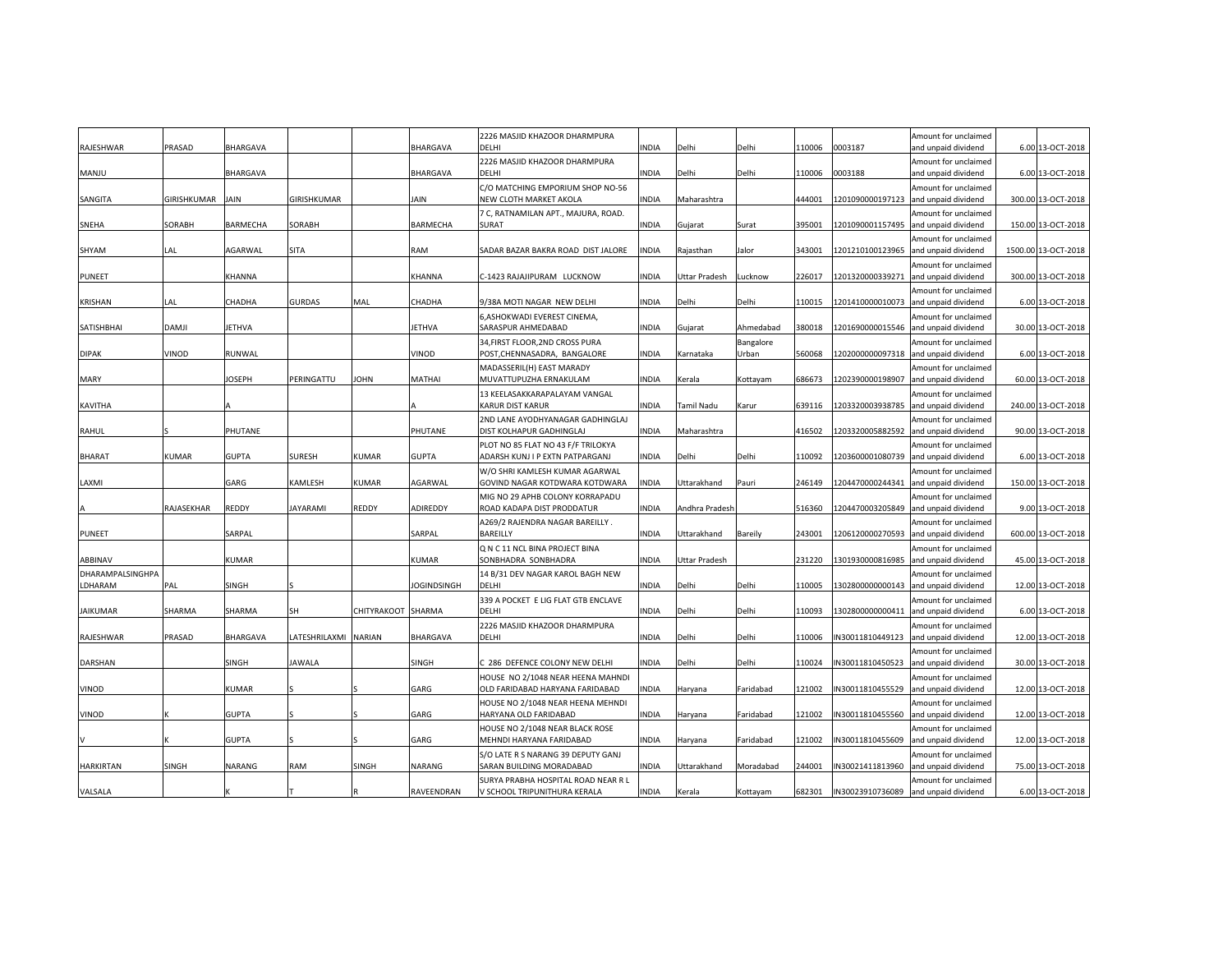| RAJESHWAR        | PRASAD        | <b>BHARGAVA</b> |               |                    | BHARGAVA           | 2226 MASJID KHAZOOR DHARMPURA<br>DELHI                         | INDIA        | Delhi          | Delhi              | 110006 | 0003187          | Amount for unclaimed<br>and unpaid dividend | 6.00 13-OCT-2018    |
|------------------|---------------|-----------------|---------------|--------------------|--------------------|----------------------------------------------------------------|--------------|----------------|--------------------|--------|------------------|---------------------------------------------|---------------------|
|                  |               |                 |               |                    |                    | 2226 MASJID KHAZOOR DHARMPURA                                  |              |                |                    |        |                  | Amount for unclaimed                        |                     |
| MANJU            |               | <b>BHARGAVA</b> |               |                    | BHARGAVA           | <b>DELHI</b>                                                   | INDIA        | Delhi          | Delhi              | 110006 | 0003188          | and unpaid dividend                         | 6.00 13-OCT-2018    |
|                  |               |                 |               |                    |                    | C/O MATCHING EMPORIUM SHOP NO-56                               |              |                |                    |        |                  | Amount for unclaimed                        |                     |
| SANGITA          | GIRISHKUMAR   | JAIN            | GIRISHKUMAR   |                    | JAIN               | NEW CLOTH MARKET AKOLA                                         | INDIA        | Maharashtra    |                    | 444001 | 1201090000197123 | and unpaid dividend                         | 300.00 13-OCT-2018  |
|                  |               |                 |               |                    |                    | 7 C, RATNAMILAN APT., MAJURA, ROAD.                            |              |                |                    |        |                  | Amount for unclaimed                        |                     |
| <b>SNEHA</b>     | <b>SORABH</b> | <b>BARMECHA</b> | <b>SORABH</b> |                    | BARMECHA           | <b>SURAT</b>                                                   | INDIA        | Gujarat        | Surat              | 395001 |                  | 1201090001157495 and unpaid dividend        | 150.00 13-OCT-2018  |
| SHYAM            | LAL           | AGARWAL         | <b>SITA</b>   |                    | RAM                | SADAR BAZAR BAKRA ROAD DIST JALORE                             | <b>INDIA</b> | Rajasthan      | Jalor              | 343001 | 1201210100123965 | Amount for unclaimed<br>and unpaid dividend | 1500.00 13-OCT-2018 |
|                  |               |                 |               |                    |                    |                                                                |              |                |                    |        |                  | Amount for unclaimed                        |                     |
| PUNEET           |               | KHANNA          |               |                    | KHANNA             | C-1423 RAJAJIPURAM LUCKNOW                                     | INDIA        | Uttar Pradesh  | Lucknow            | 226017 | 1201320000339271 | and unpaid dividend                         | 300.00 13-OCT-2018  |
|                  |               |                 |               |                    |                    |                                                                |              |                |                    |        |                  | Amount for unclaimed                        |                     |
| KRISHAN          | LAL.          | CHADHA          | <b>GURDAS</b> | MAL                | CHADHA             | 9/38A MOTI NAGAR NEW DELHI                                     | INDIA        | Delhi          | Delhi              | 110015 | 1201410000010073 | and unpaid dividend                         | 6.00 13-OCT-2018    |
|                  | <b>DAMJI</b>  |                 |               |                    |                    | 6, ASHOKWADI EVEREST CINEMA,                                   |              |                |                    |        |                  | Amount for unclaimed                        |                     |
| SATISHBHAI       |               | <b>JETHVA</b>   |               |                    | <b>JETHVA</b>      | SARASPUR AHMEDABAD<br>34, FIRST FLOOR, 2ND CROSS PURA          | INDIA        | Gujarat        | Ahmedabad          | 380018 |                  | 1201690000015546 and unpaid dividend        | 30.00 13-OCT-2018   |
| <b>DIPAK</b>     | <b>VINOD</b>  | RUNWAL          |               |                    | VINOD              | POST, CHENNASADRA, BANGALORE                                   | INDIA        | Karnataka      | Bangalore<br>Urban | 560068 | 1202000000097318 | Amount for unclaimed<br>and unpaid dividend | 6.00 13-OCT-2018    |
|                  |               |                 |               |                    |                    | MADASSERIL(H) EAST MARADY                                      |              |                |                    |        |                  | Amount for unclaimed                        |                     |
| MARY             |               | <b>JOSEPH</b>   | PERINGATTU    | JOHN               | MATHAI             | MUVATTUPUZHA ERNAKULAM                                         | INDIA        | Kerala         | Kottayam           | 686673 | 1202390000198907 | and unpaid dividend                         | 60.00 13-OCT-2018   |
|                  |               |                 |               |                    |                    | 13 KEELASAKKARAPALAYAM VANGAL                                  |              |                |                    |        |                  | Amount for unclaimed                        |                     |
| <b>KAVITHA</b>   |               |                 |               |                    |                    | KARUR DIST KARUR                                               | INDIA        | Tamil Nadu     | Karur              | 639116 |                  | 1203320003938785 and unpaid dividend        | 240.00 13-OCT-2018  |
|                  |               | PHUTANE         |               |                    | PHUTANE            | 2ND LANE AYODHYANAGAR GADHINGLAJ                               | INDIA        |                |                    | 416502 | 1203320005882592 | Amount for unclaimed                        | 90.00 13-OCT-2018   |
| RAHUL            |               |                 |               |                    |                    | DIST KOLHAPUR GADHINGLAJ<br>PLOT NO 85 FLAT NO 43 F/F TRILOKYA |              | Maharashtra    |                    |        |                  | and unpaid dividend<br>Amount for unclaimed |                     |
| <b>BHARAT</b>    | <b>KUMAR</b>  | <b>GUPTA</b>    | SURESH        | <b>KUMAR</b>       | <b>GUPTA</b>       | ADARSH KUNJ I P EXTN PATPARGANJ                                | INDIA        | Delhi          | Delhi              | 110092 | 1203600001080739 | and unpaid dividend                         | 6.00 13-OCT-2018    |
|                  |               |                 |               |                    |                    | W/O SHRI KAMLESH KUMAR AGARWAL                                 |              |                |                    |        |                  | Amount for unclaimed                        |                     |
| LAXMI            |               | GARG            | KAMLESH       | <b>KUMAR</b>       | AGARWAL            | GOVIND NAGAR KOTDWARA KOTDWARA                                 | INDIA        | Uttarakhand    | Pauri              | 246149 | 1204470000244341 | and unpaid dividend                         | 150.00 13-OCT-2018  |
|                  |               |                 |               |                    |                    | MIG NO 29 APHB COLONY KORRAPADU                                |              |                |                    |        |                  | Amount for unclaimed                        |                     |
|                  | RAJASEKHAR    | <b>REDDY</b>    | JAYARAMI      | REDDY              | ADIREDDY           | ROAD KADAPA DIST PRODDATUR                                     | INDIA        | Andhra Pradesh |                    | 516360 |                  | 1204470003205849 and unpaid dividend        | 9.00 13-OCT-2018    |
| <b>PUNEET</b>    |               | SARPAL          |               |                    | SARPAL             | A269/2 RAJENDRA NAGAR BAREILLY.<br>BAREILLY                    | INDIA        | Uttarakhand    | Bareily            | 243001 | 1206120000270593 | Amount for unclaimed<br>and unpaid dividend | 600.00 13-OCT-2018  |
|                  |               |                 |               |                    |                    | Q N C 11 NCL BINA PROJECT BINA                                 |              |                |                    |        |                  | Amount for unclaimed                        |                     |
| ABBINAV          |               | <b>KUMAR</b>    |               |                    | KUMAR              | SONBHADRA SONBHADRA                                            | INDIA        | Jttar Pradesh  |                    | 231220 | 1301930000816985 | and unpaid dividend                         | 45.00 13-OCT-2018   |
| DHARAMPALSINGHPA |               |                 |               |                    |                    | 14 B/31 DEV NAGAR KAROL BAGH NEW                               |              |                |                    |        |                  | Amount for unclaimed                        |                     |
| LDHARAM          | PAL           | <b>SINGH</b>    |               |                    | <b>JOGINDSINGH</b> | DELHI                                                          | INDIA        | Delhi          | Delhi              | 110005 |                  | 1302800000000143 and unpaid dividend        | 12.00 13-OCT-2018   |
|                  |               |                 |               |                    |                    | 339 A POCKET E LIG FLAT GTB ENCLAVE                            |              |                |                    |        |                  | Amount for unclaimed                        |                     |
| JAIKUMAR         | SHARMA        | SHARMA          | SH            | CHITYRAKOOT SHARMA |                    | DELHI                                                          | INDIA        | Delhi          | Delhi              | 110093 | 1302800000000411 | and unpaid dividend                         | 6.00 13-OCT-2018    |
| RAJESHWAR        | PRASAD        | <b>BHARGAVA</b> | LATESHRILAXMI | <b>NARIAN</b>      | BHARGAVA           | 2226 MASJID KHAZOOR DHARMPURA<br>DELHI                         | INDIA        | Delhi          | Delhi              | 110006 | IN30011810449123 | Amount for unclaimed<br>and unpaid dividend | 12.00 13-OCT-2018   |
|                  |               |                 |               |                    |                    |                                                                |              |                |                    |        |                  | Amount for unclaimed                        |                     |
| <b>DARSHAN</b>   |               | <b>SINGH</b>    | <b>JAWALA</b> |                    | SINGH              | C 286 DEFENCE COLONY NEW DELHI                                 | INDIA        | Delhi          | Delhi              | 110024 | IN30011810450523 | and unpaid dividend                         | 30.00 13-OCT-2018   |
|                  |               |                 |               |                    |                    | HOUSE NO 2/1048 NEAR HEENA MAHNDI                              |              |                |                    |        |                  | Amount for unclaimed                        |                     |
| VINOD            |               | <b>KUMAR</b>    |               |                    | GARG               | OLD FARIDABAD HARYANA FARIDABAD                                | INDIA        | Haryana        | Faridabad          | 121002 | IN30011810455529 | and unpaid dividend                         | 12.00 13-OCT-2018   |
|                  |               | <b>GUPTA</b>    |               |                    | GARG               | HOUSE NO 2/1048 NEAR HEENA MEHNDI                              | INDIA        |                |                    |        |                  | Amount for unclaimed                        |                     |
| <b>VINOD</b>     |               |                 |               |                    |                    | HARYANA OLD FARIDABAD<br>HOUSE NO 2/1048 NEAR BLACK ROSE       |              | Haryana        | Faridabad          | 121002 | IN30011810455560 | and unpaid dividend<br>Amount for unclaimed | 12.00 13-OCT-2018   |
|                  |               | <b>GUPTA</b>    |               |                    | GARG               | MEHNDI HARYANA FARIDABAD                                       | INDIA        | Haryana        | Faridabad          | 121002 | IN30011810455609 | and unpaid dividend                         | 12.00 13-OCT-2018   |
|                  |               |                 |               |                    |                    | S/O LATE R S NARANG 39 DEPUTY GANJ                             |              |                |                    |        |                  | Amount for unclaimed                        |                     |
| <b>HARKIRTAN</b> | SINGH         | NARANG          | RAM           | SINGH              | NARANG             | SARAN BUILDING MORADABAD                                       | INDIA        | Uttarakhand    | Moradabad          | 244001 | IN30021411813960 | and unpaid dividend                         | 75.00 13-OCT-2018   |
|                  |               |                 |               |                    |                    | SURYA PRABHA HOSPITAL ROAD NEAR R L                            |              |                |                    |        |                  | Amount for unclaimed                        |                     |
| VALSALA          |               |                 |               |                    | RAVEENDRAN         | V SCHOOL TRIPUNITHURA KERALA                                   | <b>INDIA</b> | Kerala         | Kottayam           | 682301 | IN30023910736089 | and unpaid dividend                         | 6.00 13-OCT-2018    |